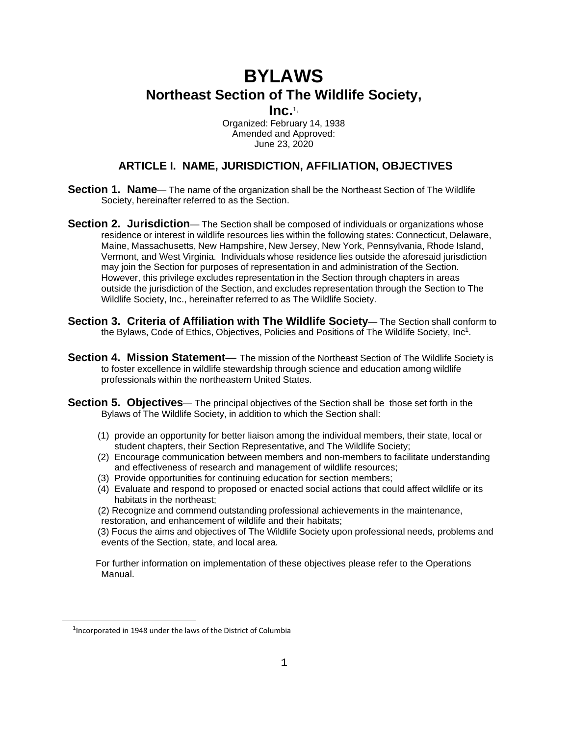# **BYLAWS Northeast Section of The Wildlife Society,**

**Inc.**1[1](#page-0-0)

Organized: February 14, 1938 Amended and Approved: June 23, 2020

# **ARTICLE I. NAME, JURISDICTION, AFFILIATION, OBJECTIVES**

- **Section 1. Name** The name of the organization shall be the Northeast Section of The Wildlife Society, hereinafter referred to as the Section.
- **Section 2. Jurisdiction** The Section shall be composed of individuals or organizations whose residence or interest in wildlife resources lies within the following states: Connecticut, Delaware, Maine, Massachusetts, New Hampshire, New Jersey, New York, Pennsylvania, Rhode Island, Vermont, and West Virginia. Individuals whose residence lies outside the aforesaid jurisdiction may join the Section for purposes of representation in and administration of the Section. However, this privilege excludes representation in the Section through chapters in areas outside the jurisdiction of the Section, and excludes representation through the Section to The Wildlife Society, Inc., hereinafter referred to as The Wildlife Society.
- **Section 3. Criteria of Affiliation with The Wildlife Society** The Section shall conform to the Bylaws, Code of Ethics, Objectives, Policies and Positions of The Wildlife Society, Inc<sup>1</sup>.
- **Section 4. Mission Statement** The mission of the Northeast Section of The Wildlife Society is to foster excellence in wildlife stewardship through science and education among wildlife professionals within the northeastern United States.
- **Section 5. Objectives** The principal objectives of the Section shall be those set forth in the Bylaws of The Wildlife Society, in addition to which the Section shall:
	- (1) provide an opportunity for better liaison among the individual members, their state, local or student chapters, their Section Representative, and The Wildlife Society;
	- (2) Encourage communication between members and non-members to facilitate understanding and effectiveness of research and management of wildlife resources;
	- (3) Provide opportunities for continuing education for section members;
	- (4) Evaluate and respond to proposed or enacted social actions that could affect wildlife or its habitats in the northeast;
	- (2) Recognize and commend outstanding professional achievements in the maintenance, restoration, and enhancement of wildlife and their habitats;
	- (3) Focus the aims and objectives of The Wildlife Society upon professional needs, problems and events of the Section, state, and local area.

For further information on implementation of these objectives please refer to the Operations Manual.

<span id="page-0-0"></span><sup>&</sup>lt;sup>1</sup> Incorporated in 1948 under the laws of the District of Columbia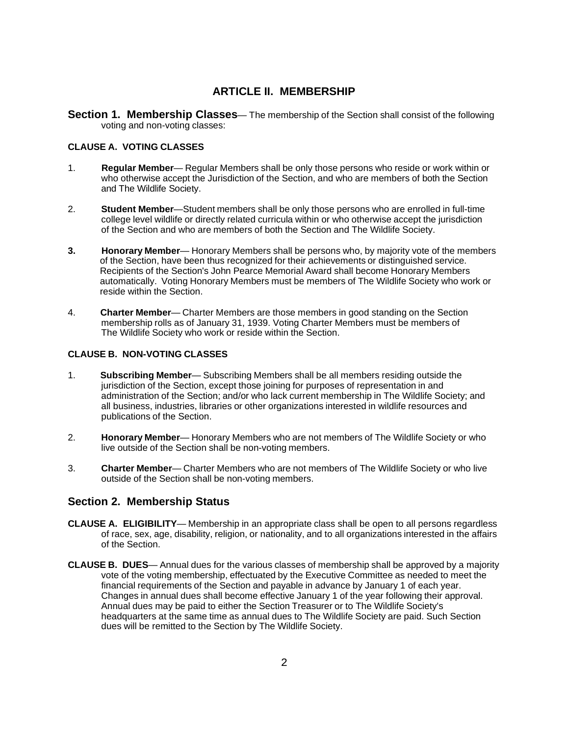# **ARTICLE II. MEMBERSHIP**

**Section 1. Membership Classes**— The membership of the Section shall consist of the following voting and non-voting classes:

#### **CLAUSE A. VOTING CLASSES**

- 1. **Regular Member** Regular Members shall be only those persons who reside or work within or who otherwise accept the Jurisdiction of the Section, and who are members of both the Section and The Wildlife Society.
- 2. **Student Member**—Student members shall be only those persons who are enrolled in full-time college level wildlife or directly related curricula within or who otherwise accept the jurisdiction of the Section and who are members of both the Section and The Wildlife Society.
- **3. Honorary Member** Honorary Members shall be persons who, by majority vote of the members of the Section, have been thus recognized for their achievements or distinguished service. Recipients of the Section's John Pearce Memorial Award shall become Honorary Members automatically. Voting Honorary Members must be members of The Wildlife Society who work or reside within the Section.
- 4. **Charter Member** Charter Members are those members in good standing on the Section membership rolls as of January 31, 1939. Voting Charter Members must be members of The Wildlife Society who work or reside within the Section.

#### **CLAUSE B. NON-VOTING CLASSES**

- 1. **Subscribing Member** Subscribing Members shall be all members residing outside the jurisdiction of the Section, except those joining for purposes of representation in and administration of the Section; and/or who lack current membership in The Wildlife Society; and all business, industries, libraries or other organizations interested in wildlife resources and publications of the Section.
- 2. **Honorary Member** Honorary Members who are not members of The Wildlife Society or who live outside of the Section shall be non-voting members.
- 3. **Charter Member** Charter Members who are not members of The Wildlife Society or who live outside of the Section shall be non-voting members.

# **Section 2. Membership Status**

- **CLAUSE A. ELIGIBILITY** Membership in an appropriate class shall be open to all persons regardless of race, sex, age, disability, religion, or nationality, and to all organizations interested in the affairs of the Section.
- **CLAUSE B. DUES** Annual dues for the various classes of membership shall be approved by a majority vote of the voting membership, effectuated by the Executive Committee as needed to meet the financial requirements of the Section and payable in advance by January 1 of each year. Changes in annual dues shall become effective January 1 of the year following their approval. Annual dues may be paid to either the Section Treasurer or to The Wildlife Society's headquarters at the same time as annual dues to The Wildlife Society are paid. Such Section dues will be remitted to the Section by The Wildlife Society.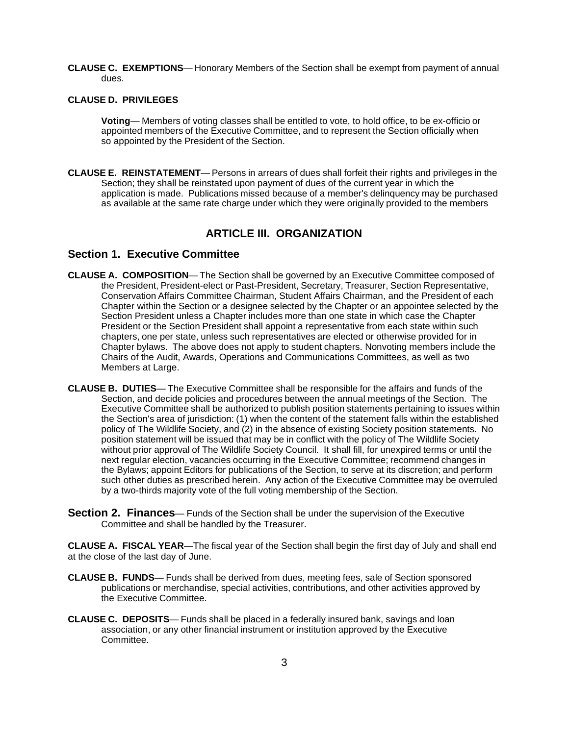**CLAUSE C. EXEMPTIONS**— Honorary Members of the Section shall be exempt from payment of annual dues.

#### **CLAUSE D. PRIVILEGES**

**Voting**— Members of voting classes shall be entitled to vote, to hold office, to be ex-officio or appointed members of the Executive Committee, and to represent the Section officially when so appointed by the President of the Section.

**CLAUSE E. REINSTATEMENT**— Persons in arrears of dues shall forfeit their rights and privileges in the Section; they shall be reinstated upon payment of dues of the current year in which the application is made. Publications missed because of a member's delinquency may be purchased as available at the same rate charge under which they were originally provided to the members

### **ARTICLE III. ORGANIZATION**

#### **Section 1. Executive Committee**

- **CLAUSE A. COMPOSITION** The Section shall be governed by an Executive Committee composed of the President, President-elect or Past-President, Secretary, Treasurer, Section Representative, Conservation Affairs Committee Chairman, Student Affairs Chairman, and the President of each Chapter within the Section or a designee selected by the Chapter or an appointee selected by the Section President unless a Chapter includes more than one state in which case the Chapter President or the Section President shall appoint a representative from each state within such chapters, one per state, unless such representatives are elected or otherwise provided for in Chapter bylaws. The above does not apply to student chapters. Nonvoting members include the Chairs of the Audit, Awards, Operations and Communications Committees, as well as two Members at Large.
- **CLAUSE B. DUTIES** The Executive Committee shall be responsible for the affairs and funds of the Section, and decide policies and procedures between the annual meetings of the Section. The Executive Committee shall be authorized to publish position statements pertaining to issues within the Section's area of jurisdiction: (1) when the content of the statement falls within the established policy of The Wildlife Society, and (2) in the absence of existing Society position statements. No position statement will be issued that may be in conflict with the policy of The Wildlife Society without prior approval of The Wildlife Society Council. It shall fill, for unexpired terms or until the next regular election, vacancies occurring in the Executive Committee; recommend changes in the Bylaws; appoint Editors for publications of the Section, to serve at its discretion; and perform such other duties as prescribed herein. Any action of the Executive Committee may be overruled by a two-thirds majority vote of the full voting membership of the Section.
- **Section 2. Finances** Funds of the Section shall be under the supervision of the Executive Committee and shall be handled by the Treasurer.

**CLAUSE A. FISCAL YEAR**—The fiscal year of the Section shall begin the first day of July and shall end at the close of the last day of June.

- **CLAUSE B. FUNDS** Funds shall be derived from dues, meeting fees, sale of Section sponsored publications or merchandise, special activities, contributions, and other activities approved by the Executive Committee.
- **CLAUSE C. DEPOSITS** Funds shall be placed in a federally insured bank, savings and loan association, or any other financial instrument or institution approved by the Executive Committee.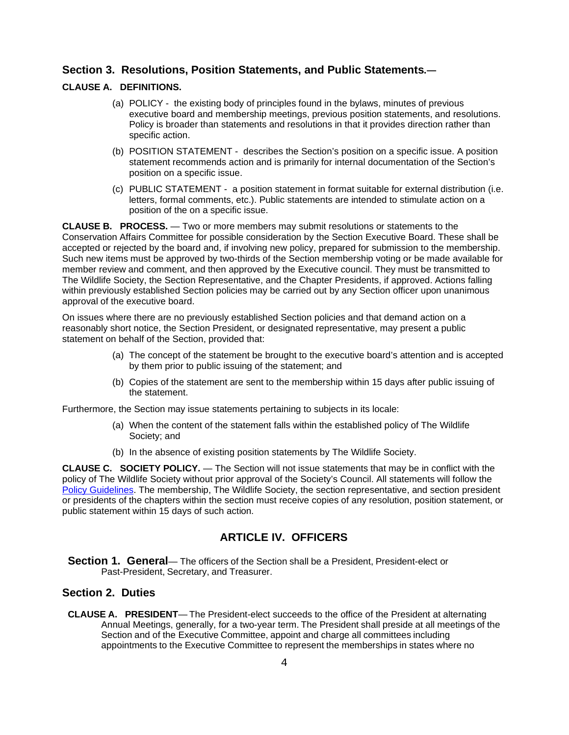#### **Section 3. Resolutions, Position Statements, and Public Statements.—**

#### **CLAUSE A. DEFINITIONS.**

- (a) POLICY the existing body of principles found in the bylaws, minutes of previous executive board and membership meetings, previous position statements, and resolutions. Policy is broader than statements and resolutions in that it provides direction rather than specific action.
- (b) POSITION STATEMENT describes the Section's position on a specific issue. A position statement recommends action and is primarily for internal documentation of the Section's position on a specific issue.
- (c) PUBLIC STATEMENT a position statement in format suitable for external distribution (i.e. letters, formal comments, etc.). Public statements are intended to stimulate action on a position of the on a specific issue.

**CLAUSE B. PROCESS.** — Two or more members may submit resolutions or statements to the Conservation Affairs Committee for possible consideration by the Section Executive Board. These shall be accepted or rejected by the board and, if involving new policy, prepared for submission to the membership. Such new items must be approved by two-thirds of the Section membership voting or be made available for member review and comment, and then approved by the Executive council. They must be transmitted to The Wildlife Society, the Section Representative, and the Chapter Presidents, if approved. Actions falling within previously established Section policies may be carried out by any Section officer upon unanimous approval of the executive board.

On issues where there are no previously established Section policies and that demand action on a reasonably short notice, the Section President, or designated representative, may present a public statement on behalf of the Section, provided that:

- (a) The concept of the statement be brought to the executive board's attention and is accepted by them prior to public issuing of the statement; and
- (b) Copies of the statement are sent to the membership within 15 days after public issuing of the statement.

Furthermore, the Section may issue statements pertaining to subjects in its locale:

- (a) When the content of the statement falls within the established policy of The Wildlife Society; and
- (b) In the absence of existing position statements by The Wildlife Society.

**CLAUSE C. SOCIETY POLICY.** — The Section will not issue statements that may be in conflict with the policy of The Wildlife Society without prior approval of the Society's Council. All statements will follow the [Policy Guidelines.](http://wildlife.org/network/tws-local/annual-reporting/) The membership, The Wildlife Society, the section representative, and section president or presidents of the chapters within the section must receive copies of any resolution, position statement, or public statement within 15 days of such action.

# **ARTICLE IV. OFFICERS**

**Section 1. General**— The officers of the Section shall be a President, President-elect or Past-President, Secretary, and Treasurer.

# **Section 2. Duties**

**CLAUSE A. PRESIDENT**— The President-elect succeeds to the office of the President at alternating Annual Meetings, generally, for a two-year term. The President shall preside at all meetings of the Section and of the Executive Committee, appoint and charge all committees including appointments to the Executive Committee to represent the memberships in states where no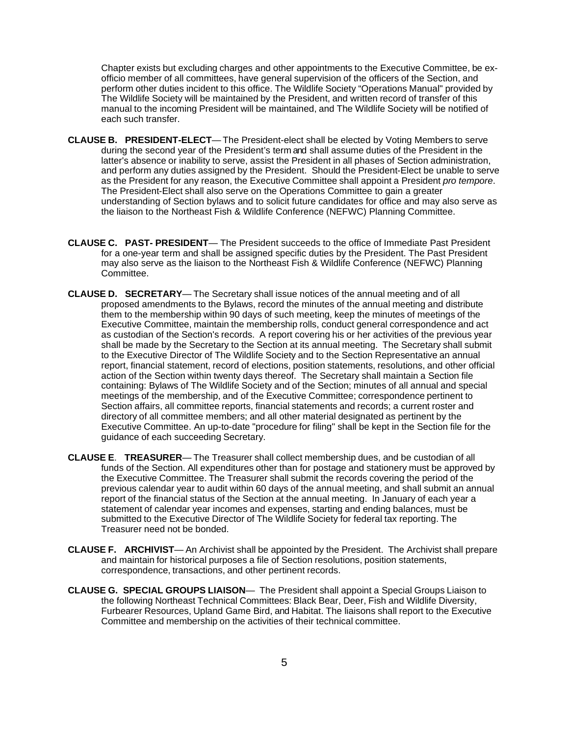Chapter exists but excluding charges and other appointments to the Executive Committee, be exofficio member of all committees, have general supervision of the officers of the Section, and perform other duties incident to this office. The Wildlife Society "Operations Manual" provided by The Wildlife Society will be maintained by the President, and written record of transfer of this manual to the incoming President will be maintained, and The Wildlife Society will be notified of each such transfer.

- **CLAUSE B. PRESIDENT-ELECT** The President-elect shall be elected by Voting Members to serve during the second year of the President's term and shall assume duties of the President in the latter's absence or inability to serve, assist the President in all phases of Section administration, and perform any duties assigned by the President. Should the President-Elect be unable to serve as the President for any reason, the Executive Committee shall appoint a President *pro tempore*. The President-Elect shall also serve on the Operations Committee to gain a greater understanding of Section bylaws and to solicit future candidates for office and may also serve as the liaison to the Northeast Fish & Wildlife Conference (NEFWC) Planning Committee.
- **CLAUSE C. PAST- PRESIDENT** The President succeeds to the office of Immediate Past President for a one-year term and shall be assigned specific duties by the President. The Past President may also serve as the liaison to the Northeast Fish & Wildlife Conference (NEFWC) Planning Committee.
- **CLAUSE D. SECRETARY** The Secretary shall issue notices of the annual meeting and of all proposed amendments to the Bylaws, record the minutes of the annual meeting and distribute them to the membership within 90 days of such meeting, keep the minutes of meetings of the Executive Committee, maintain the membership rolls, conduct general correspondence and act as custodian of the Section's records. A report covering his or her activities of the previous year shall be made by the Secretary to the Section at its annual meeting. The Secretary shall submit to the Executive Director of The Wildlife Society and to the Section Representative an annual report, financial statement, record of elections, position statements, resolutions, and other official action of the Section within twenty days thereof. The Secretary shall maintain a Section file containing: Bylaws of The Wildlife Society and of the Section; minutes of all annual and special meetings of the membership, and of the Executive Committee; correspondence pertinent to Section affairs, all committee reports, financial statements and records; a current roster and directory of all committee members; and all other material designated as pertinent by the Executive Committee. An up-to-date "procedure for filing" shall be kept in the Section file for the guidance of each succeeding Secretary.
- **CLAUSE E**. **TREASURER** The Treasurer shall collect membership dues, and be custodian of all funds of the Section. All expenditures other than for postage and stationery must be approved by the Executive Committee. The Treasurer shall submit the records covering the period of the previous calendar year to audit within 60 days of the annual meeting, and shall submit an annual report of the financial status of the Section at the annual meeting. In January of each year a statement of calendar year incomes and expenses, starting and ending balances, must be submitted to the Executive Director of The Wildlife Society for federal tax reporting. The Treasurer need not be bonded.
- **CLAUSE F. ARCHIVIST** An Archivist shall be appointed by the President. The Archivist shall prepare and maintain for historical purposes a file of Section resolutions, position statements, correspondence, transactions, and other pertinent records.
- **CLAUSE G. SPECIAL GROUPS LIAISON** The President shall appoint a Special Groups Liaison to the following Northeast Technical Committees: Black Bear, Deer, Fish and Wildlife Diversity, Furbearer Resources, Upland Game Bird, and Habitat. The liaisons shall report to the Executive Committee and membership on the activities of their technical committee.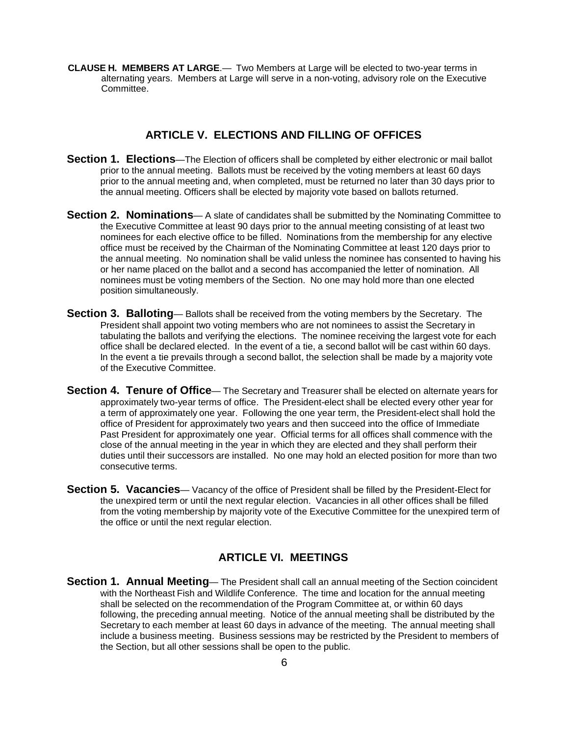**CLAUSE H. MEMBERS AT LARGE**.— Two Members at Large will be elected to two-year terms in alternating years. Members at Large will serve in a non-voting, advisory role on the Executive Committee.

# **ARTICLE V. ELECTIONS AND FILLING OF OFFICES**

- **Section 1. Elections**—The Election of officers shall be completed by either electronic or mail ballot prior to the annual meeting. Ballots must be received by the voting members at least 60 days prior to the annual meeting and, when completed, must be returned no later than 30 days prior to the annual meeting. Officers shall be elected by majority vote based on ballots returned.
- **Section 2. Nominations** A slate of candidates shall be submitted by the Nominating Committee to the Executive Committee at least 90 days prior to the annual meeting consisting of at least two nominees for each elective office to be filled. Nominations from the membership for any elective office must be received by the Chairman of the Nominating Committee at least 120 days prior to the annual meeting. No nomination shall be valid unless the nominee has consented to having his or her name placed on the ballot and a second has accompanied the letter of nomination. All nominees must be voting members of the Section. No one may hold more than one elected position simultaneously.
- **Section 3. Balloting** Ballots shall be received from the voting members by the Secretary. The President shall appoint two voting members who are not nominees to assist the Secretary in tabulating the ballots and verifying the elections. The nominee receiving the largest vote for each office shall be declared elected. In the event of a tie, a second ballot will be cast within 60 days. In the event a tie prevails through a second ballot, the selection shall be made by a majority vote of the Executive Committee.
- **Section 4. Tenure of Office** The Secretary and Treasurer shall be elected on alternate years for approximately two-year terms of office. The President-elect shall be elected every other year for a term of approximately one year. Following the one year term, the President-elect shall hold the office of President for approximately two years and then succeed into the office of Immediate Past President for approximately one year. Official terms for all offices shall commence with the close of the annual meeting in the year in which they are elected and they shall perform their duties until their successors are installed. No one may hold an elected position for more than two consecutive terms.
- **Section 5. Vacancies** Vacancy of the office of President shall be filled by the President-Elect for the unexpired term or until the next regular election. Vacancies in all other offices shall be filled from the voting membership by majority vote of the Executive Committee for the unexpired term of the office or until the next regular election.

# **ARTICLE VI. MEETINGS**

**Section 1. Annual Meeting**— The President shall call an annual meeting of the Section coincident with the Northeast Fish and Wildlife Conference. The time and location for the annual meeting shall be selected on the recommendation of the Program Committee at, or within 60 days following, the preceding annual meeting. Notice of the annual meeting shall be distributed by the Secretary to each member at least 60 days in advance of the meeting. The annual meeting shall include a business meeting. Business sessions may be restricted by the President to members of the Section, but all other sessions shall be open to the public.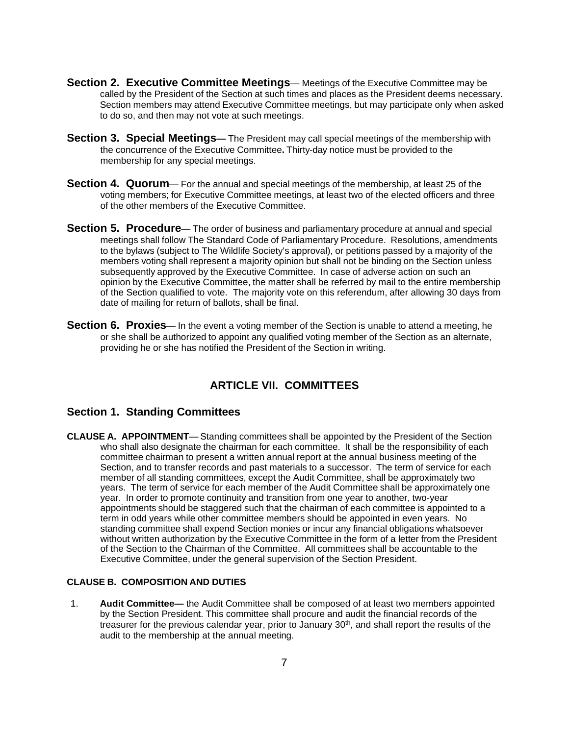- **Section 2. Executive Committee Meetings** Meetings of the Executive Committee may be called by the President of the Section at such times and places as the President deems necessary. Section members may attend Executive Committee meetings, but may participate only when asked to do so, and then may not vote at such meetings.
- **Section 3. Special Meetings—** The President may call special meetings of the membership with the concurrence of the Executive Committee**.** Thirty-day notice must be provided to the membership for any special meetings.
- **Section 4. Quorum** For the annual and special meetings of the membership, at least 25 of the voting members; for Executive Committee meetings, at least two of the elected officers and three of the other members of the Executive Committee.
- **Section 5. Procedure** The order of business and parliamentary procedure at annual and special meetings shall follow The Standard Code of Parliamentary Procedure. Resolutions, amendments to the bylaws (subject to The Wildlife Society's approval), or petitions passed by a majority of the members voting shall represent a majority opinion but shall not be binding on the Section unless subsequently approved by the Executive Committee. In case of adverse action on such an opinion by the Executive Committee, the matter shall be referred by mail to the entire membership of the Section qualified to vote. The majority vote on this referendum, after allowing 30 days from date of mailing for return of ballots, shall be final.
- **Section 6. Proxies** In the event a voting member of the Section is unable to attend a meeting, he or she shall be authorized to appoint any qualified voting member of the Section as an alternate, providing he or she has notified the President of the Section in writing.

# **ARTICLE VII. COMMITTEES**

# **Section 1. Standing Committees**

**CLAUSE A. APPOINTMENT**— Standing committees shall be appointed by the President of the Section who shall also designate the chairman for each committee. It shall be the responsibility of each committee chairman to present a written annual report at the annual business meeting of the Section, and to transfer records and past materials to a successor. The term of service for each member of all standing committees, except the Audit Committee, shall be approximately two years. The term of service for each member of the Audit Committee shall be approximately one year. In order to promote continuity and transition from one year to another, two-year appointments should be staggered such that the chairman of each committee is appointed to a term in odd years while other committee members should be appointed in even years. No standing committee shall expend Section monies or incur any financial obligations whatsoever without written authorization by the Executive Committee in the form of a letter from the President of the Section to the Chairman of the Committee. All committees shall be accountable to the Executive Committee, under the general supervision of the Section President.

#### **CLAUSE B. COMPOSITION AND DUTIES**

1. **Audit Committee—** the Audit Committee shall be composed of at least two members appointed by the Section President. This committee shall procure and audit the financial records of the treasurer for the previous calendar year, prior to January  $30<sup>th</sup>$ , and shall report the results of the audit to the membership at the annual meeting.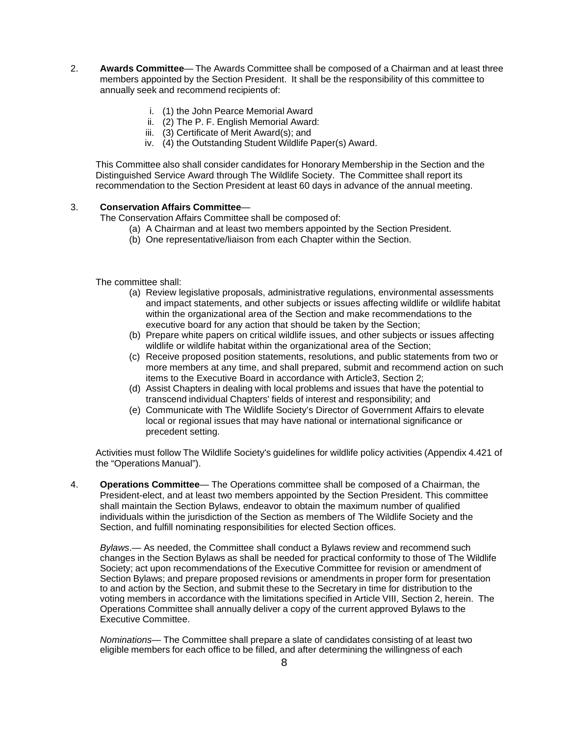- 2. **Awards Committee** The Awards Committee shall be composed of a Chairman and at least three members appointed by the Section President. It shall be the responsibility of this committee to annually seek and recommend recipients of:
	- i. (1) the John Pearce Memorial Award
	- ii. (2) The P. F. English Memorial Award:
	- iii. (3) Certificate of Merit Award(s); and
	- iv. (4) the Outstanding Student Wildlife Paper(s) Award.

This Committee also shall consider candidates for Honorary Membership in the Section and the Distinguished Service Award through The Wildlife Society. The Committee shall report its recommendation to the Section President at least 60 days in advance of the annual meeting.

#### 3. **Conservation Affairs Committee**—

The Conservation Affairs Committee shall be composed of:

- (a) A Chairman and at least two members appointed by the Section President.
- (b) One representative/liaison from each Chapter within the Section.

The committee shall:

- (a) Review legislative proposals, administrative regulations, environmental assessments and impact statements, and other subjects or issues affecting wildlife or wildlife habitat within the organizational area of the Section and make recommendations to the executive board for any action that should be taken by the Section;
- (b) Prepare white papers on critical wildlife issues, and other subjects or issues affecting wildlife or wildlife habitat within the organizational area of the Section;
- (c) Receive proposed position statements, resolutions, and public statements from two or more members at any time, and shall prepared, submit and recommend action on such items to the Executive Board in accordance with Article3, Section 2;
- (d) Assist Chapters in dealing with local problems and issues that have the potential to transcend individual Chapters' fields of interest and responsibility; and
- (e) Communicate with The Wildlife Society's Director of Government Affairs to elevate local or regional issues that may have national or international significance or precedent setting.

Activities must follow The Wildlife Society's guidelines for wildlife policy activities (Appendix 4.421 of the "Operations Manual").

4. **Operations Committee**— The Operations committee shall be composed of a Chairman, the President-elect, and at least two members appointed by the Section President. This committee shall maintain the Section Bylaws, endeavor to obtain the maximum number of qualified individuals within the jurisdiction of the Section as members of The Wildlife Society and the Section, and fulfill nominating responsibilities for elected Section offices.

*Bylaws*.— As needed, the Committee shall conduct a Bylaws review and recommend such changes in the Section Bylaws as shall be needed for practical conformity to those of The Wildlife Society; act upon recommendations of the Executive Committee for revision or amendment of Section Bylaws; and prepare proposed revisions or amendments in proper form for presentation to and action by the Section, and submit these to the Secretary in time for distribution to the voting members in accordance with the limitations specified in Article VIII, Section 2, herein. The Operations Committee shall annually deliver a copy of the current approved Bylaws to the Executive Committee.

*Nominations*— The Committee shall prepare a slate of candidates consisting of at least two eligible members for each office to be filled, and after determining the willingness of each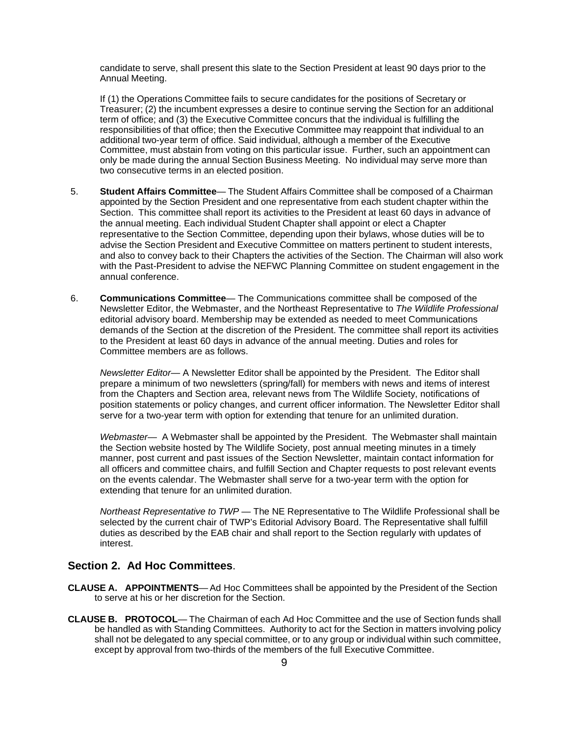candidate to serve, shall present this slate to the Section President at least 90 days prior to the Annual Meeting.

If (1) the Operations Committee fails to secure candidates for the positions of Secretary or Treasurer; (2) the incumbent expresses a desire to continue serving the Section for an additional term of office; and (3) the Executive Committee concurs that the individual is fulfilling the responsibilities of that office; then the Executive Committee may reappoint that individual to an additional two-year term of office. Said individual, although a member of the Executive Committee, must abstain from voting on this particular issue. Further, such an appointment can only be made during the annual Section Business Meeting. No individual may serve more than two consecutive terms in an elected position.

- 5. **Student Affairs Committee** The Student Affairs Committee shall be composed of a Chairman appointed by the Section President and one representative from each student chapter within the Section. This committee shall report its activities to the President at least 60 days in advance of the annual meeting. Each individual Student Chapter shall appoint or elect a Chapter representative to the Section Committee, depending upon their bylaws, whose duties will be to advise the Section President and Executive Committee on matters pertinent to student interests, and also to convey back to their Chapters the activities of the Section. The Chairman will also work with the Past-President to advise the NEFWC Planning Committee on student engagement in the annual conference.
- 6. **Communications Committee** The Communications committee shall be composed of the Newsletter Editor, the Webmaster, and the Northeast Representative to *The Wildlife Professional* editorial advisory board. Membership may be extended as needed to meet Communications demands of the Section at the discretion of the President. The committee shall report its activities to the President at least 60 days in advance of the annual meeting. Duties and roles for Committee members are as follows.

*Newsletter Editor*— A Newsletter Editor shall be appointed by the President. The Editor shall prepare a minimum of two newsletters (spring/fall) for members with news and items of interest from the Chapters and Section area, relevant news from The Wildlife Society, notifications of position statements or policy changes, and current officer information. The Newsletter Editor shall serve for a two-year term with option for extending that tenure for an unlimited duration.

*Webmaster*— A Webmaster shall be appointed by the President. The Webmaster shall maintain the Section website hosted by The Wildlife Society, post annual meeting minutes in a timely manner, post current and past issues of the Section Newsletter, maintain contact information for all officers and committee chairs, and fulfill Section and Chapter requests to post relevant events on the events calendar. The Webmaster shall serve for a two-year term with the option for extending that tenure for an unlimited duration.

*Northeast Representative to TWP* — The NE Representative to The Wildlife Professional shall be selected by the current chair of TWP's Editorial Advisory Board. The Representative shall fulfill duties as described by the EAB chair and shall report to the Section regularly with updates of interest.

#### **Section 2. Ad Hoc Committees**.

- **CLAUSE A. APPOINTMENTS** Ad Hoc Committees shall be appointed by the President of the Section to serve at his or her discretion for the Section.
- **CLAUSE B. PROTOCOL** The Chairman of each Ad Hoc Committee and the use of Section funds shall be handled as with Standing Committees. Authority to act for the Section in matters involving policy shall not be delegated to any special committee, or to any group or individual within such committee, except by approval from two-thirds of the members of the full Executive Committee.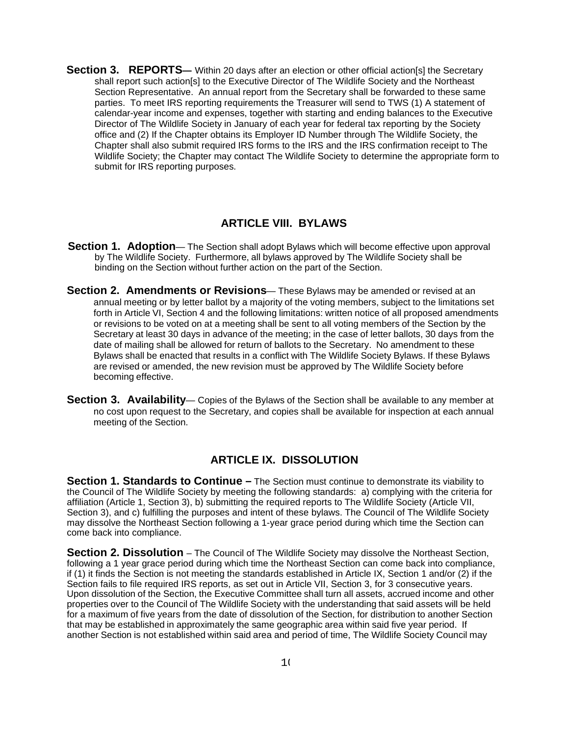**Section 3. REPORTS—** Within 20 days after an election or other official action[s] the Secretary shall report such action[s] to the Executive Director of The Wildlife Society and the Northeast Section Representative. An annual report from the Secretary shall be forwarded to these same parties. To meet IRS reporting requirements the Treasurer will send to TWS (1) A statement of calendar-year income and expenses, together with starting and ending balances to the Executive Director of The Wildlife Society in January of each year for federal tax reporting by the Society office and (2) If the Chapter obtains its Employer ID Number through The Wildlife Society, the Chapter shall also submit required IRS forms to the IRS and the IRS confirmation receipt to The Wildlife Society; the Chapter may contact The Wildlife Society to determine the appropriate form to submit for IRS reporting purposes.

#### **ARTICLE VIII. BYLAWS**

- **Section 1. Adoption** The Section shall adopt Bylaws which will become effective upon approval by The Wildlife Society. Furthermore, all bylaws approved by The Wildlife Society shall be binding on the Section without further action on the part of the Section.
- **Section 2. Amendments or Revisions** These Bylaws may be amended or revised at an annual meeting or by letter ballot by a majority of the voting members, subject to the limitations set forth in Article VI, Section 4 and the following limitations: written notice of all proposed amendments or revisions to be voted on at a meeting shall be sent to all voting members of the Section by the Secretary at least 30 days in advance of the meeting; in the case of letter ballots, 30 days from the date of mailing shall be allowed for return of ballots to the Secretary. No amendment to these Bylaws shall be enacted that results in a conflict with The Wildlife Society Bylaws. If these Bylaws are revised or amended, the new revision must be approved by The Wildlife Society before becoming effective.
- **Section 3. Availability** Copies of the Bylaws of the Section shall be available to any member at no cost upon request to the Secretary, and copies shall be available for inspection at each annual meeting of the Section.

# **ARTICLE IX. DISSOLUTION**

**Section 1. Standards to Continue –** The Section must continue to demonstrate its viability to the Council of The Wildlife Society by meeting the following standards: a) complying with the criteria for affiliation (Article 1, Section 3), b) submitting the required reports to The Wildlife Society (Article VII, Section 3), and c) fulfilling the purposes and intent of these bylaws. The Council of The Wildlife Society may dissolve the Northeast Section following a 1-year grace period during which time the Section can come back into compliance.

**Section 2. Dissolution** – The Council of The Wildlife Society may dissolve the Northeast Section, following a 1 year grace period during which time the Northeast Section can come back into compliance, if (1) it finds the Section is not meeting the standards established in Article IX, Section 1 and/or (2) if the Section fails to file required IRS reports, as set out in Article VII, Section 3, for 3 consecutive years. Upon dissolution of the Section, the Executive Committee shall turn all assets, accrued income and other properties over to the Council of The Wildlife Society with the understanding that said assets will be held for a maximum of five years from the date of dissolution of the Section, for distribution to another Section that may be established in approximately the same geographic area within said five year period. If another Section is not established within said area and period of time, The Wildlife Society Council may